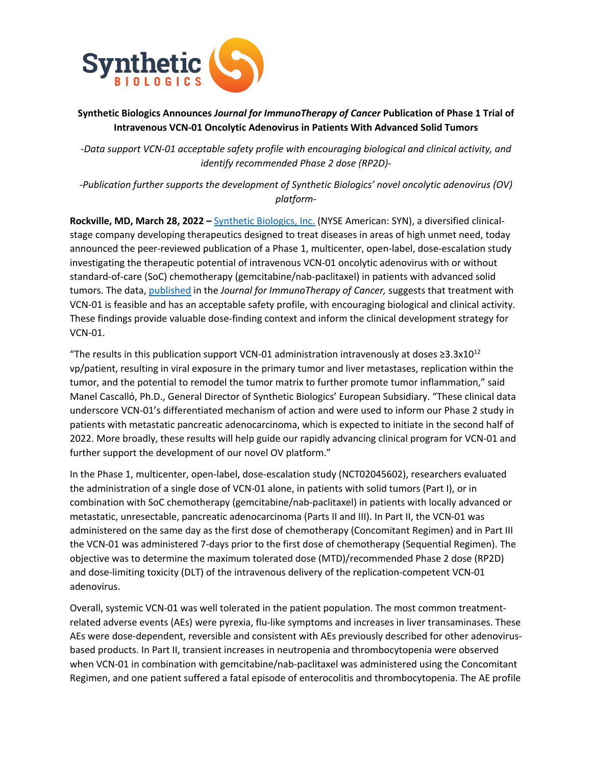

# **Synthetic Biologics Announces** *Journal for ImmunoTherapy of Cancer* **Publication of Phase 1 Trial of Intravenous VCN-01 Oncolytic Adenovirus in Patients With Advanced Solid Tumors**

*-Data support VCN-01 acceptable safety profile with encouraging biological and clinical activity, and identify recommended Phase 2 dose (RP2D)-*

*-Publication further supports the development of Synthetic Biologics' novel oncolytic adenovirus (OV) platform-*

**Rockville, MD, March 28, 2022 –** Synthetic Biologics, Inc. (NYSE American: SYN), a diversified clinicalstage company developing therapeutics designed to treat diseases in areas of high unmet need, today announced the peer-reviewed publication of a Phase 1, multicenter, open-label, dose-escalation study investigating the therapeutic potential of intravenous VCN-01 oncolytic adenovirus with or without standard-of-care (SoC) chemotherapy (gemcitabine/nab-paclitaxel) in patients with advanced solid tumors. The data, published in the *Journal for ImmunoTherapy of Cancer,* suggests that treatment with VCN-01 is feasible and has an acceptable safety profile, with encouraging biological and clinical activity. These findings provide valuable dose-finding context and inform the clinical development strategy for VCN-01.

"The results in this publication support VCN-01 administration intravenously at doses  $\geq 3.3x10^{12}$ vp/patient, resulting in viral exposure in the primary tumor and liver metastases, replication within the tumor, and the potential to remodel the tumor matrix to further promote tumor inflammation," said Manel Cascallό, Ph.D., General Director of Synthetic Biologics' European Subsidiary. "These clinical data underscore VCN-01's differentiated mechanism of action and were used to inform our Phase 2 study in patients with metastatic pancreatic adenocarcinoma, which is expected to initiate in the second half of 2022. More broadly, these results will help guide our rapidly advancing clinical program for VCN-01 and further support the development of our novel OV platform."

In the Phase 1, multicenter, open-label, dose-escalation study (NCT02045602), researchers evaluated the administration of a single dose of VCN-01 alone, in patients with solid tumors (Part I), or in combination with SoC chemotherapy (gemcitabine/nab-paclitaxel) in patients with locally advanced or metastatic, unresectable, pancreatic adenocarcinoma (Parts II and III). In Part II, the VCN-01 was administered on the same day as the first dose of chemotherapy (Concomitant Regimen) and in Part III the VCN-01 was administered 7-days prior to the first dose of chemotherapy (Sequential Regimen). The objective was to determine the maximum tolerated dose (MTD)/recommended Phase 2 dose (RP2D) and dose-limiting toxicity (DLT) of the intravenous delivery of the replication-competent VCN-01 adenovirus.

Overall, systemic VCN-01 was well tolerated in the patient population. The most common treatmentrelated adverse events (AEs) were pyrexia, flu-like symptoms and increases in liver transaminases. These AEs were dose-dependent, reversible and consistent with AEs previously described for other adenovirusbased products. In Part II, transient increases in neutropenia and thrombocytopenia were observed when VCN-01 in combination with gemcitabine/nab-paclitaxel was administered using the Concomitant Regimen, and one patient suffered a fatal episode of enterocolitis and thrombocytopenia. The AE profile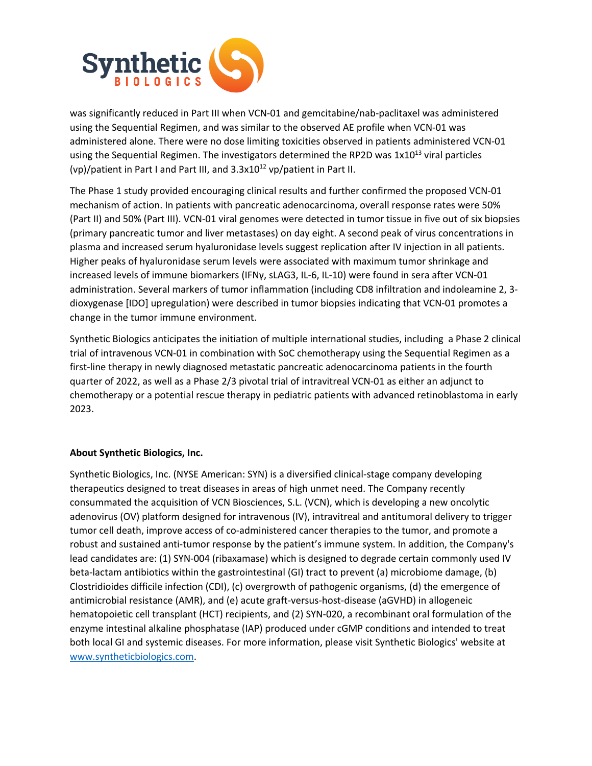

was significantly reduced in Part III when VCN-01 and gemcitabine/nab-paclitaxel was administered using the Sequential Regimen, and was similar to the observed AE profile when VCN-01 was administered alone. There were no dose limiting toxicities observed in patients administered VCN-01 using the Sequential Regimen. The investigators determined the RP2D was  $1x10^{13}$  viral particles (vp)/patient in Part I and Part III, and  $3.3x10^{12}$  vp/patient in Part II.

The Phase 1 study provided encouraging clinical results and further confirmed the proposed VCN-01 mechanism of action. In patients with pancreatic adenocarcinoma, overall response rates were 50% (Part II) and 50% (Part III). VCN-01 viral genomes were detected in tumor tissue in five out of six biopsies (primary pancreatic tumor and liver metastases) on day eight. A second peak of virus concentrations in plasma and increased serum hyaluronidase levels suggest replication after IV injection in all patients. Higher peaks of hyaluronidase serum levels were associated with maximum tumor shrinkage and increased levels of immune biomarkers (IFNγ, sLAG3, IL-6, IL-10) were found in sera after VCN-01 administration. Several markers of tumor inflammation (including CD8 infiltration and indoleamine 2, 3 dioxygenase [IDO] upregulation) were described in tumor biopsies indicating that VCN-01 promotes a change in the tumor immune environment.

Synthetic Biologics anticipates the initiation of multiple international studies, including a Phase 2 clinical trial of intravenous VCN-01 in combination with SoC chemotherapy using the Sequential Regimen as a first-line therapy in newly diagnosed metastatic pancreatic adenocarcinoma patients in the fourth quarter of 2022, as well as a Phase 2/3 pivotal trial of intravitreal VCN-01 as either an adjunct to chemotherapy or a potential rescue therapy in pediatric patients with advanced retinoblastoma in early 2023.

## **About Synthetic Biologics, Inc.**

Synthetic Biologics, Inc. (NYSE American: SYN) is a diversified clinical-stage company developing therapeutics designed to treat diseases in areas of high unmet need. The Company recently consummated the acquisition of VCN Biosciences, S.L. (VCN), which is developing a new oncolytic adenovirus (OV) platform designed for intravenous (IV), intravitreal and antitumoral delivery to trigger tumor cell death, improve access of co-administered cancer therapies to the tumor, and promote a robust and sustained anti-tumor response by the patient's immune system. In addition, the Company's lead candidates are: (1) SYN-004 (ribaxamase) which is designed to degrade certain commonly used IV beta-lactam antibiotics within the gastrointestinal (GI) tract to prevent (a) microbiome damage, (b) Clostridioides difficile infection (CDI), (c) overgrowth of pathogenic organisms, (d) the emergence of antimicrobial resistance (AMR), and (e) acute graft-versus-host-disease (aGVHD) in allogeneic hematopoietic cell transplant (HCT) recipients, and (2) SYN-020, a recombinant oral formulation of the enzyme intestinal alkaline phosphatase (IAP) produced under cGMP conditions and intended to treat both local GI and systemic diseases. For more information, please visit Synthetic Biologics' website at www.syntheticbiologics.com.